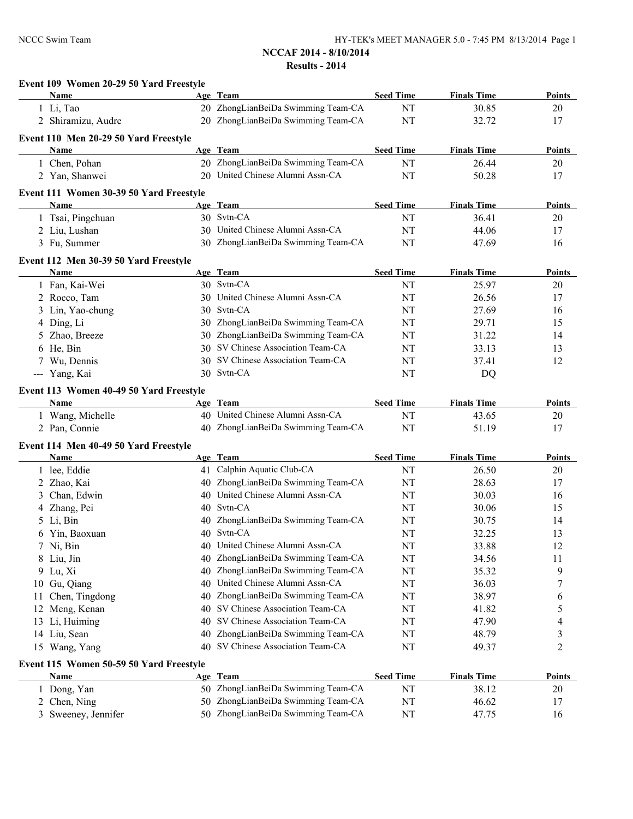|    | Event 109 Women 20-29 50 Yard Freestyle |          |                                                                       |                               |                             |                     |
|----|-----------------------------------------|----------|-----------------------------------------------------------------------|-------------------------------|-----------------------------|---------------------|
|    | Name                                    |          | Age Team                                                              | <b>Seed Time</b>              | <b>Finals Time</b>          | <b>Points</b>       |
|    | 1 Li, Tao                               |          | 20 ZhongLianBeiDa Swimming Team-CA                                    | NT                            | 30.85                       | 20                  |
|    | 2 Shiramizu, Audre                      |          | 20 ZhongLianBeiDa Swimming Team-CA                                    | NT                            | 32.72                       | 17                  |
|    | Event 110 Men 20-29 50 Yard Freestyle   |          |                                                                       |                               |                             |                     |
|    | Name                                    |          | Age Team                                                              | <b>Seed Time</b>              | <b>Finals Time</b>          | Points              |
|    | 1 Chen, Pohan                           |          | 20 ZhongLianBeiDa Swimming Team-CA                                    | NT                            | 26.44                       | 20                  |
|    | 2 Yan, Shanwei                          |          | 20 United Chinese Alumni Assn-CA                                      | NT                            | 50.28                       | 17                  |
|    | Event 111 Women 30-39 50 Yard Freestyle |          |                                                                       |                               |                             |                     |
|    | <b>Name</b>                             |          | Age Team                                                              | <b>Seed Time</b>              | <b>Finals Time</b>          | <b>Points</b>       |
|    | 1 Tsai, Pingchuan                       |          | 30 Svtn-CA                                                            | NT                            | 36.41                       | 20                  |
|    | 2 Liu, Lushan                           |          | 30 United Chinese Alumni Assn-CA                                      | NT                            | 44.06                       | 17                  |
|    | 3 Fu, Summer                            |          | 30 ZhongLianBeiDa Swimming Team-CA                                    | NT                            | 47.69                       | 16                  |
|    | Event 112 Men 30-39 50 Yard Freestyle   |          |                                                                       |                               |                             |                     |
|    | Name                                    |          | Age Team                                                              | <b>Seed Time</b>              | <b>Finals Time</b>          | <b>Points</b>       |
|    | 1 Fan, Kai-Wei                          |          | 30 Svtn-CA                                                            | NT                            | 25.97                       | 20                  |
|    | 2 Rocco, Tam                            | 30       | United Chinese Alumni Assn-CA                                         | NT                            | 26.56                       | 17                  |
| 3  | Lin, Yao-chung                          | 30       | Svtn-CA                                                               | NT                            | 27.69                       | 16                  |
|    | 4 Ding, Li                              | 30       | ZhongLianBeiDa Swimming Team-CA                                       | NT                            | 29.71                       | 15                  |
|    | 5 Zhao, Breeze                          | 30       | ZhongLianBeiDa Swimming Team-CA                                       | NT                            | 31.22                       | 14                  |
|    | 6 He, Bin                               | 30       | SV Chinese Association Team-CA                                        | NT                            | 33.13                       | 13                  |
|    | 7 Wu, Dennis                            |          | 30 SV Chinese Association Team-CA                                     | NT                            | 37.41                       | 12                  |
|    | --- Yang, Kai                           |          | 30 Svtn-CA                                                            | NT                            | DQ                          |                     |
|    |                                         |          |                                                                       |                               |                             |                     |
|    | Event 113 Women 40-49 50 Yard Freestyle |          |                                                                       |                               |                             |                     |
|    | Name                                    |          | Age Team<br>40 United Chinese Alumni Assn-CA                          | <b>Seed Time</b><br><b>NT</b> | <b>Finals Time</b><br>43.65 | <b>Points</b><br>20 |
|    | 1 Wang, Michelle<br>2 Pan, Connie       |          | 40 ZhongLianBeiDa Swimming Team-CA                                    | NT                            | 51.19                       | 17                  |
|    |                                         |          |                                                                       |                               |                             |                     |
|    | Event 114 Men 40-49 50 Yard Freestyle   |          |                                                                       |                               |                             |                     |
|    | Name                                    |          | Age Team                                                              | <b>Seed Time</b>              | <b>Finals Time</b>          | <b>Points</b>       |
|    | 1 lee, Eddie                            |          | 41 Calphin Aquatic Club-CA                                            | <b>NT</b>                     | 26.50                       | $20\,$              |
|    | 2 Zhao, Kai                             |          | 40 ZhongLianBeiDa Swimming Team-CA                                    | <b>NT</b>                     | 28.63                       | 17                  |
|    | Chan, Edwin                             |          | 40 United Chinese Alumni Assn-CA                                      | NT                            | 30.03                       | 16                  |
|    | 4 Zhang, Pei                            | 40       | Svtn-CA                                                               | NT                            | 30.06                       | 15                  |
| 5  | Li, Bin                                 |          | 40 ZhongLianBeiDa Swimming Team-CA                                    | NT                            | 30.75                       | 14                  |
|    | 6 Yin, Baoxuan                          |          | 40 Svtn-CA<br>40 United Chinese Alumni Assn-CA                        | <b>NT</b>                     | 32.25                       | 13                  |
| 7. | Ni, Bin                                 |          |                                                                       | <b>NT</b>                     | 33.88                       | 12                  |
|    | 8 Liu, Jin                              | 40       | ZhongLianBeiDa Swimming Team-CA                                       | NT                            | 34.56                       | 11                  |
|    | 9 Lu, Xi                                | 40       | ZhongLianBeiDa Swimming Team-CA<br>United Chinese Alumni Assn-CA      | NT                            | 35.32                       | 9                   |
|    | 10 Gu, Qiang                            | 40       |                                                                       | NT                            | 36.03                       | 7                   |
|    | 11 Chen, Tingdong                       | 40       | ZhongLianBeiDa Swimming Team-CA<br>SV Chinese Association Team-CA     | NT<br>NT                      | 38.97<br>41.82              | 6                   |
|    | 12 Meng, Kenan                          | 40       | SV Chinese Association Team-CA                                        |                               |                             | 5                   |
|    | 13 Li, Huiming<br>14 Liu, Sean          | 40<br>40 | ZhongLianBeiDa Swimming Team-CA                                       | NT<br>NT                      | 47.90<br>48.79              | 4                   |
|    | 15 Wang, Yang                           | 40       | SV Chinese Association Team-CA                                        | NT                            | 49.37                       | 3<br>2              |
|    |                                         |          |                                                                       |                               |                             |                     |
|    | Event 115 Women 50-59 50 Yard Freestyle |          |                                                                       |                               |                             |                     |
|    | <b>Name</b>                             |          | Age Team                                                              | <b>Seed Time</b>              | <b>Finals Time</b>          | <b>Points</b>       |
| 1  | Dong, Yan                               |          | 50 ZhongLianBeiDa Swimming Team-CA                                    | NT                            | 38.12                       | 20                  |
|    | 2 Chen, Ning                            | 50       | ZhongLianBeiDa Swimming Team-CA<br>50 ZhongLianBeiDa Swimming Team-CA | NT                            | 46.62                       | 17                  |
|    | 3 Sweeney, Jennifer                     |          |                                                                       | NT                            | 47.75                       | 16                  |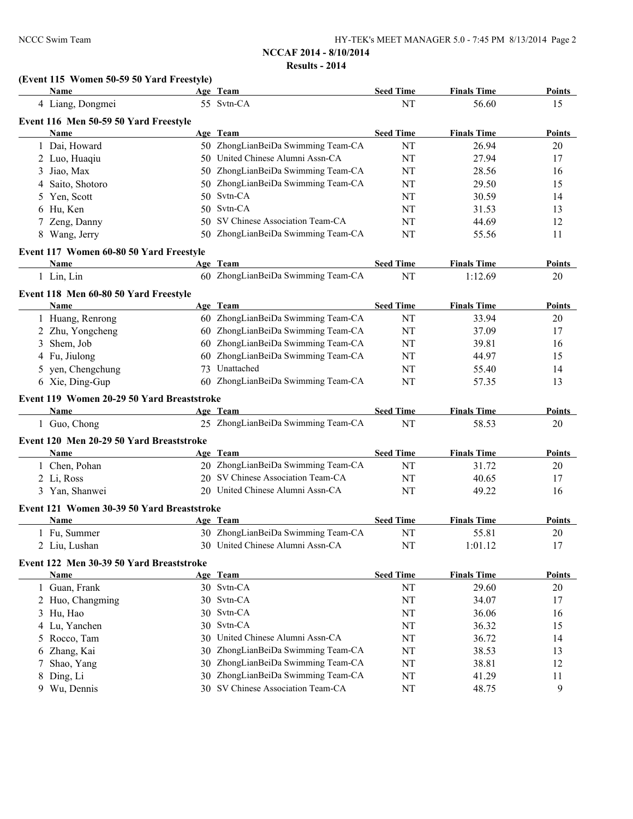# **(Event 115 Women 50-59 50 Yard Freestyle)**

|   | Name                                       |     | Age Team                           | <b>Seed Time</b> | <b>Finals Time</b> | <b>Points</b> |
|---|--------------------------------------------|-----|------------------------------------|------------------|--------------------|---------------|
|   | 4 Liang, Dongmei                           |     | 55 Svtn-CA                         | NT               | 56.60              | 15            |
|   | Event 116 Men 50-59 50 Yard Freestyle      |     |                                    |                  |                    |               |
|   | Name                                       |     | Age Team                           | <b>Seed Time</b> | <b>Finals Time</b> | Points        |
|   | 1 Dai, Howard                              |     | 50 ZhongLianBeiDa Swimming Team-CA | NT               | 26.94              | 20            |
|   | 2 Luo, Huaqiu                              |     | 50 United Chinese Alumni Assn-CA   | NT               | 27.94              | 17            |
| 3 | Jiao, Max                                  |     | 50 ZhongLianBeiDa Swimming Team-CA | NT               | 28.56              | 16            |
| 4 | Saito, Shotoro                             |     | 50 ZhongLianBeiDa Swimming Team-CA | NT               | 29.50              | 15            |
| 5 | Yen, Scott                                 | 50. | Svtn-CA                            | NT               | 30.59              | 14            |
| 6 | Hu, Ken                                    |     | 50 Svtn-CA                         | NT               | 31.53              | 13            |
|   | 7 Zeng, Danny                              | 50. | SV Chinese Association Team-CA     | NT               | 44.69              | 12            |
|   | 8 Wang, Jerry                              |     | 50 ZhongLianBeiDa Swimming Team-CA | NT               | 55.56              | 11            |
|   | Event 117 Women 60-80 50 Yard Freestyle    |     |                                    |                  |                    |               |
|   | Name                                       |     | Age Team                           | <b>Seed Time</b> | <b>Finals Time</b> | Points        |
|   | 1 Lin, Lin                                 |     | 60 ZhongLianBeiDa Swimming Team-CA | NT               | 1:12.69            | 20            |
|   | Event 118 Men 60-80 50 Yard Freestyle      |     |                                    |                  |                    |               |
|   | Name                                       |     | Age Team                           | <b>Seed Time</b> | <b>Finals Time</b> | Points        |
|   | 1 Huang, Renrong                           |     | 60 ZhongLianBeiDa Swimming Team-CA | NT               | 33.94              | 20            |
|   | 2 Zhu, Yongcheng                           |     | 60 ZhongLianBeiDa Swimming Team-CA | NT               | 37.09              | 17            |
|   | 3 Shem, Job                                |     | 60 ZhongLianBeiDa Swimming Team-CA | NT               | 39.81              | 16            |
|   | 4 Fu, Jiulong                              | 60  | ZhongLianBeiDa Swimming Team-CA    | NT               | 44.97              | 15            |
|   | 5 yen, Chengchung                          | 73  | Unattached                         | NT               | 55.40              | 14            |
|   | 6 Xie, Ding-Gup                            |     | 60 ZhongLianBeiDa Swimming Team-CA | NT               | 57.35              | 13            |
|   | Event 119 Women 20-29 50 Yard Breaststroke |     |                                    |                  |                    |               |
|   | Name                                       |     | Age Team                           | <b>Seed Time</b> | <b>Finals Time</b> | Points        |
|   | 1 Guo, Chong                               |     | 25 ZhongLianBeiDa Swimming Team-CA | NT               | 58.53              | 20            |
|   | Event 120 Men 20-29 50 Yard Breaststroke   |     |                                    |                  |                    |               |
|   | Name                                       |     | Age Team                           | <b>Seed Time</b> | <b>Finals Time</b> | <b>Points</b> |
|   | 1 Chen, Pohan                              |     | 20 ZhongLianBeiDa Swimming Team-CA | NT               | 31.72              | $20\,$        |
|   | 2 Li, Ross                                 |     | 20 SV Chinese Association Team-CA  | NT               | 40.65              | 17            |
|   | 3 Yan, Shanwei                             |     | 20 United Chinese Alumni Assn-CA   | NT               | 49.22              | 16            |
|   | Event 121 Women 30-39 50 Yard Breaststroke |     |                                    |                  |                    |               |
|   | Name                                       |     | Age Team                           | <b>Seed Time</b> | <b>Finals Time</b> | <b>Points</b> |
|   | 1 Fu, Summer                               |     | 30 ZhongLianBeiDa Swimming Team-CA | NT               | 55.81              | 20            |
|   | 2 Liu, Lushan                              |     | 30 United Chinese Alumni Assn-CA   | NT               | 1:01.12            | 17            |
|   | Event 122 Men 30-39 50 Yard Breaststroke   |     |                                    |                  |                    |               |
|   | <b>Name</b>                                |     | Age Team                           | <b>Seed Time</b> | <b>Finals Time</b> | <b>Points</b> |
|   | 1 Guan, Frank                              |     | 30 Svtn-CA                         | NT               | 29.60              | $20\,$        |
|   | 2 Huo, Changming                           |     | 30 Svtn-CA                         | NT               | 34.07              | 17            |
|   | 3 Hu, Hao                                  | 30  | Svtn-CA                            | NT               | 36.06              | 16            |
|   | 4 Lu, Yanchen                              | 30  | Svtn-CA                            | NT               | 36.32              | 15            |
|   | 5 Rocco, Tam                               | 30  | United Chinese Alumni Assn-CA      | NT               | 36.72              | 14            |
| 6 | Zhang, Kai                                 | 30  | ZhongLianBeiDa Swimming Team-CA    | NT               | 38.53              | 13            |
| 7 | Shao, Yang                                 | 30  | ZhongLianBeiDa Swimming Team-CA    | NT               | 38.81              | 12            |
| 8 | Ding, Li                                   | 30  | ZhongLianBeiDa Swimming Team-CA    | NT               | 41.29              | 11            |
|   | 9 Wu, Dennis                               |     | 30 SV Chinese Association Team-CA  | NT               | 48.75              | 9             |
|   |                                            |     |                                    |                  |                    |               |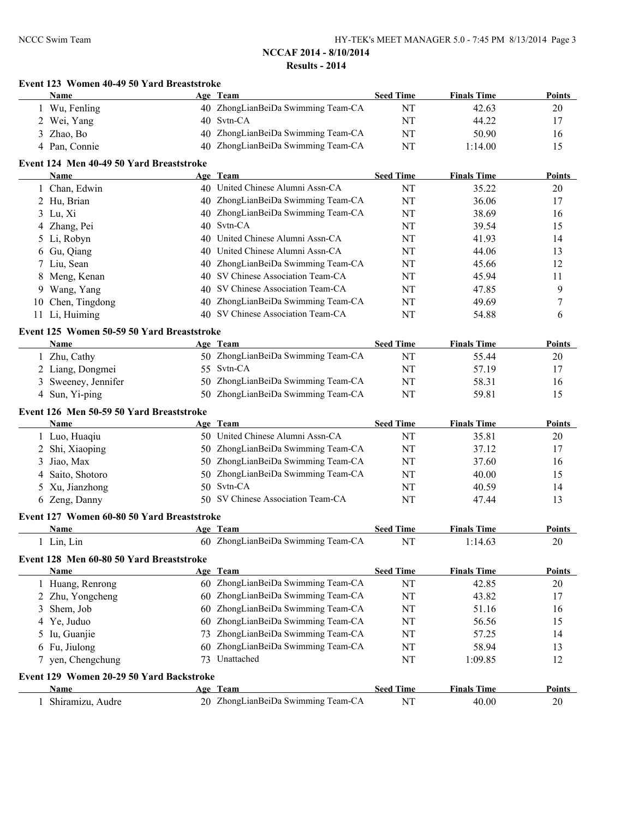|    | Event 123 Women 40-49 50 Yard Breaststroke<br>Name |    | Age Team                           | <b>Seed Time</b> | <b>Finals Time</b> | Points        |
|----|----------------------------------------------------|----|------------------------------------|------------------|--------------------|---------------|
|    | 1 Wu, Fenling                                      |    | 40 ZhongLianBeiDa Swimming Team-CA | NT               | 42.63              | 20            |
|    | 2 Wei, Yang                                        |    | 40 Svtn-CA                         | NT               | 44.22              | 17            |
|    | 3 Zhao, Bo                                         |    | 40 ZhongLianBeiDa Swimming Team-CA | NT               | 50.90              | 16            |
|    | 4 Pan, Connie                                      |    | 40 ZhongLianBeiDa Swimming Team-CA | NT               | 1:14.00            | 15            |
|    | Event 124 Men 40-49 50 Yard Breaststroke           |    |                                    |                  |                    |               |
|    | <b>Name</b>                                        |    | Age Team                           | <b>Seed Time</b> | <b>Finals Time</b> | Points        |
|    | 1 Chan, Edwin                                      |    | 40 United Chinese Alumni Assn-CA   | NT               | 35.22              | 20            |
|    | 2 Hu, Brian                                        |    | 40 ZhongLianBeiDa Swimming Team-CA | NT               | 36.06              | 17            |
|    | 3 Lu, Xi                                           |    | 40 ZhongLianBeiDa Swimming Team-CA | NT               | 38.69              | 16            |
|    | 4 Zhang, Pei                                       |    | 40 Svtn-CA                         | NT               | 39.54              | 15            |
| 5  | Li, Robyn                                          |    | 40 United Chinese Alumni Assn-CA   | NT               | 41.93              | 14            |
| 6  | Gu, Qiang                                          |    | 40 United Chinese Alumni Assn-CA   | NT               | 44.06              | 13            |
| 7  | Liu, Sean                                          |    | 40 ZhongLianBeiDa Swimming Team-CA | NT               | 45.66              | 12            |
| 8  | Meng, Kenan                                        |    | 40 SV Chinese Association Team-CA  | NT               | 45.94              | 11            |
| 9  | Wang, Yang                                         |    | 40 SV Chinese Association Team-CA  | NT               | 47.85              | 9             |
| 10 | Chen, Tingdong                                     |    | 40 ZhongLianBeiDa Swimming Team-CA | NT               | 49.69              | 7             |
|    | 11 Li, Huiming                                     |    | 40 SV Chinese Association Team-CA  | NT               | 54.88              | 6             |
|    | Event 125 Women 50-59 50 Yard Breaststroke         |    |                                    |                  |                    |               |
|    | Name                                               |    | Age Team                           | <b>Seed Time</b> | <b>Finals Time</b> | Points        |
|    | 1 Zhu, Cathy                                       |    | 50 ZhongLianBeiDa Swimming Team-CA | NT               | 55.44              | 20            |
|    | 2 Liang, Dongmei                                   |    | 55 Svtn-CA                         | NT               | 57.19              | 17            |
|    | 3 Sweeney, Jennifer                                |    | 50 ZhongLianBeiDa Swimming Team-CA | NT               | 58.31              | 16            |
|    | 4 Sun, Yi-ping                                     |    | 50 ZhongLianBeiDa Swimming Team-CA | NT               | 59.81              | 15            |
|    | Event 126 Men 50-59 50 Yard Breaststroke           |    |                                    |                  |                    |               |
|    | Name                                               |    | Age Team                           | <b>Seed Time</b> | <b>Finals Time</b> | Points        |
|    | 1 Luo, Huaqiu                                      |    | 50 United Chinese Alumni Assn-CA   | NT               | 35.81              | 20            |
|    | 2 Shi, Xiaoping                                    |    | 50 ZhongLianBeiDa Swimming Team-CA | NT               | 37.12              | 17            |
| 3  | Jiao, Max                                          |    | 50 ZhongLianBeiDa Swimming Team-CA | NT               | 37.60              | 16            |
| 4  | Saito, Shotoro                                     |    | 50 ZhongLianBeiDa Swimming Team-CA | NT               | 40.00              | 15            |
| 5  | Xu, Jianzhong                                      |    | 50 Svtn-CA                         | NT               | 40.59              | 14            |
|    | 6 Zeng, Danny                                      |    | 50 SV Chinese Association Team-CA  | NT               | 47.44              | 13            |
|    | Event 127 Women 60-80 50 Yard Breaststroke         |    |                                    |                  |                    |               |
|    | Name                                               |    | Age Team                           | <b>Seed Time</b> | <b>Finals Time</b> | Points        |
|    | 1 Lin, Lin                                         |    | 60 ZhongLianBeiDa Swimming Team-CA | NT               | 1:14.63            | 20            |
|    | Event 128 Men 60-80 50 Yard Breaststroke           |    |                                    |                  |                    |               |
|    | Name                                               |    | Age Team                           | <b>Seed Time</b> | <b>Finals Time</b> | <b>Points</b> |
|    | 1 Huang, Renrong                                   |    | 60 ZhongLianBeiDa Swimming Team-CA | NT               | 42.85              | 20            |
| 2  | Zhu, Yongcheng                                     |    | 60 ZhongLianBeiDa Swimming Team-CA | NT               | 43.82              | 17            |
| 3  | Shem, Job                                          |    | 60 ZhongLianBeiDa Swimming Team-CA | NT               | 51.16              | 16            |
| 4  | Ye, Juduo                                          |    | 60 ZhongLianBeiDa Swimming Team-CA | NT               | 56.56              | 15            |
| 5  | Iu, Guanjie                                        |    | ZhongLianBeiDa Swimming Team-CA    | NT               | 57.25              | 14            |
| 6  | Fu, Jiulong                                        |    | 60 ZhongLianBeiDa Swimming Team-CA | NT               | 58.94              | 13            |
|    | 7 yen, Chengchung                                  | 73 | Unattached                         | NT               | 1:09.85            | 12            |
|    | Event 129 Women 20-29 50 Yard Backstroke           |    |                                    |                  |                    |               |
|    | Name                                               |    | Age Team                           | <b>Seed Time</b> | <b>Finals Time</b> | <b>Points</b> |
|    |                                                    |    |                                    |                  |                    |               |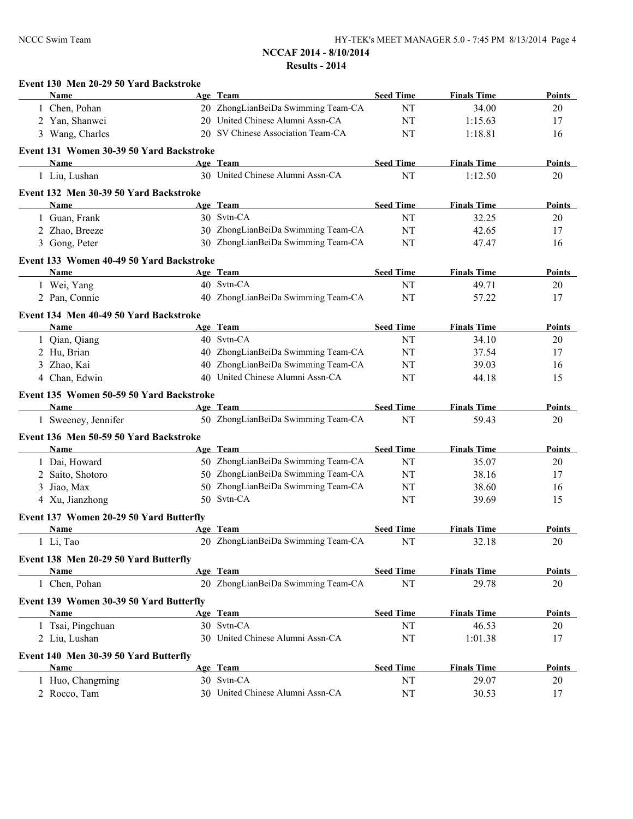|   | Event 130 Men 20-29 50 Yard Backstroke   |                                    |                  |                    |               |
|---|------------------------------------------|------------------------------------|------------------|--------------------|---------------|
|   | Name                                     | Age Team                           | <b>Seed Time</b> | <b>Finals Time</b> | <b>Points</b> |
|   | 1 Chen, Pohan                            | 20 ZhongLianBeiDa Swimming Team-CA | NT               | 34.00              | 20            |
|   | 2 Yan, Shanwei                           | 20 United Chinese Alumni Assn-CA   | NT               | 1:15.63            | 17            |
|   | 3 Wang, Charles                          | 20 SV Chinese Association Team-CA  | NT               | 1:18.81            | 16            |
|   | Event 131 Women 30-39 50 Yard Backstroke |                                    |                  |                    |               |
|   | Name                                     | Age Team                           | <b>Seed Time</b> | <b>Finals Time</b> | <b>Points</b> |
|   | 1 Liu, Lushan                            | 30 United Chinese Alumni Assn-CA   | NT               | 1:12.50            | 20            |
|   | Event 132 Men 30-39 50 Yard Backstroke   |                                    |                  |                    |               |
|   | Name                                     | Age Team                           | <b>Seed Time</b> | <b>Finals Time</b> | <b>Points</b> |
|   | 1 Guan, Frank                            | 30 Svtn-CA                         | NT               | 32.25              | 20            |
|   | 2 Zhao, Breeze                           | 30 ZhongLianBeiDa Swimming Team-CA | NT               | 42.65              | 17            |
|   | 3 Gong, Peter                            | 30 ZhongLianBeiDa Swimming Team-CA | NT               | 47.47              | 16            |
|   | Event 133 Women 40-49 50 Yard Backstroke |                                    |                  |                    |               |
|   | Name                                     | Age Team                           | <b>Seed Time</b> | <b>Finals Time</b> | <b>Points</b> |
|   | 1 Wei, Yang                              | 40 Svtn-CA                         | NT               | 49.71              | 20            |
|   | 2 Pan, Connie                            | 40 ZhongLianBeiDa Swimming Team-CA | NT               | 57.22              | 17            |
|   | Event 134 Men 40-49 50 Yard Backstroke   |                                    |                  |                    |               |
|   | Name                                     | Age Team                           | <b>Seed Time</b> | <b>Finals Time</b> | <b>Points</b> |
|   | 1 Qian, Qiang                            | 40 Svtn-CA                         | NT               | 34.10              | 20            |
|   | 2 Hu, Brian                              | 40 ZhongLianBeiDa Swimming Team-CA | NT               | 37.54              | 17            |
|   | 3 Zhao, Kai                              | 40 ZhongLianBeiDa Swimming Team-CA | NT               | 39.03              | 16            |
|   | 4 Chan, Edwin                            | 40 United Chinese Alumni Assn-CA   | NT               | 44.18              | 15            |
|   | Event 135 Women 50-59 50 Yard Backstroke |                                    |                  |                    |               |
|   | Name                                     | Age Team                           | <b>Seed Time</b> | <b>Finals Time</b> | Points        |
|   | 1 Sweeney, Jennifer                      | 50 ZhongLianBeiDa Swimming Team-CA | NT               | 59.43              | 20            |
|   | Event 136 Men 50-59 50 Yard Backstroke   |                                    |                  |                    |               |
|   | Name                                     | Age Team                           | <b>Seed Time</b> | <b>Finals Time</b> | <b>Points</b> |
|   | 1 Dai, Howard                            | 50 ZhongLianBeiDa Swimming Team-CA | NT               | 35.07              | 20            |
|   | 2 Saito, Shotoro                         | 50 ZhongLianBeiDa Swimming Team-CA | NT               | 38.16              | 17            |
| 3 | Jiao, Max                                | 50 ZhongLianBeiDa Swimming Team-CA | NT               | 38.60              | 16            |
|   | 4 Xu, Jianzhong                          | 50 Svtn-CA                         | NT               | 39.69              | 15            |
|   | Event 137 Women 20-29 50 Yard Butterfly  |                                    |                  |                    |               |
|   | Name                                     | Age Team                           | <b>Seed Time</b> | <b>Finals Time</b> | <b>Points</b> |
|   | 1 Li, Tao                                | 20 ZhongLianBeiDa Swimming Team-CA | <b>NT</b>        | 32.18              | 20            |
|   | Event 138 Men 20-29 50 Yard Butterfly    |                                    |                  |                    |               |
|   | Name                                     | Age Team                           | <b>Seed Time</b> | <b>Finals Time</b> | <b>Points</b> |
|   | 1 Chen, Pohan                            | 20 ZhongLianBeiDa Swimming Team-CA | $\mathbf{NT}$    | 29.78              | 20            |
|   | Event 139 Women 30-39 50 Yard Butterfly  |                                    |                  |                    |               |
|   | <b>Name</b>                              | Age Team                           | <b>Seed Time</b> | <b>Finals Time</b> | <b>Points</b> |
|   | 1 Tsai, Pingchuan                        | 30 Svtn-CA                         | NT               | 46.53              | 20            |
|   | 2 Liu, Lushan                            | 30 United Chinese Alumni Assn-CA   | NT               | 1:01.38            | 17            |
|   | Event 140 Men 30-39 50 Yard Butterfly    |                                    |                  |                    |               |
|   | <b>Name</b>                              | Age Team                           | <b>Seed Time</b> | <b>Finals Time</b> | <b>Points</b> |
|   | 1 Huo, Changming                         | 30 Svtn-CA                         | NT               | 29.07              | 20            |
|   | 2 Rocco, Tam                             | 30 United Chinese Alumni Assn-CA   | NT               | 30.53              | 17            |
|   |                                          |                                    |                  |                    |               |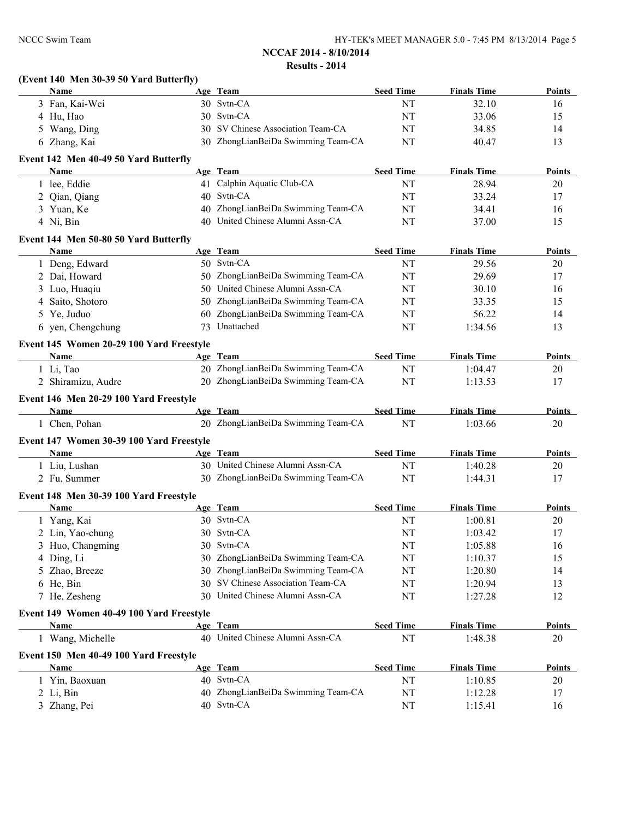| NCCC Swim Team                                   |    | NCCAF 2014 - 8/10/2014                         |                        | HY-TEK's MEET MANAGER 5.0 - 7:45 PM 8/13/2014 Page 5 |               |
|--------------------------------------------------|----|------------------------------------------------|------------------------|------------------------------------------------------|---------------|
|                                                  |    |                                                |                        |                                                      |               |
|                                                  |    | <b>Results - 2014</b>                          |                        |                                                      |               |
| (Event 140 Men 30-39 50 Yard Butterfly)<br>Name  |    | Age Team                                       | <b>Seed Time</b>       | <b>Finals Time</b>                                   | <b>Points</b> |
| 3 Fan, Kai-Wei                                   |    | 30 Svtn-CA                                     | NT                     | 32.10                                                | 16            |
| 4 Hu, Hao                                        |    | 30 Svtn-CA                                     | NT                     | 33.06                                                | 15            |
| 5 Wang, Ding                                     |    | 30 SV Chinese Association Team-CA              | NT                     | 34.85                                                | 14            |
| 6 Zhang, Kai                                     |    | 30 ZhongLianBeiDa Swimming Team-CA             | NT                     | 40.47                                                | 13            |
|                                                  |    |                                                |                        |                                                      |               |
| Event 142 Men 40-49 50 Yard Butterfly<br>Name    |    | Age Team                                       | <b>Seed Time</b>       | <b>Finals Time</b>                                   | <b>Points</b> |
| 1 lee, Eddie                                     |    | 41 Calphin Aquatic Club-CA                     | NT                     | 28.94                                                | 20            |
| 2 Qian, Qiang                                    |    | 40 Svtn-CA                                     | NT                     | 33.24                                                | 17            |
| 3 Yuan, Ke                                       |    | 40 ZhongLianBeiDa Swimming Team-CA             | NT                     | 34.41                                                | 16            |
| 4 Ni, Bin                                        |    | 40 United Chinese Alumni Assn-CA               | NT                     | 37.00                                                | 15            |
|                                                  |    |                                                |                        |                                                      |               |
| Event 144 Men 50-80 50 Yard Butterfly<br>Name    |    | Age Team                                       | <b>Seed Time</b>       | <b>Finals Time</b>                                   | <b>Points</b> |
| 1 Deng, Edward                                   |    | 50 Svtn-CA                                     | NT                     | 29.56                                                | 20            |
| 2 Dai, Howard                                    |    | 50 ZhongLianBeiDa Swimming Team-CA             | NT                     | 29.69                                                | 17            |
| 3 Luo, Huaqiu                                    |    | 50 United Chinese Alumni Assn-CA               | NT                     | 30.10                                                | 16            |
| 4 Saito, Shotoro                                 |    | 50 ZhongLianBeiDa Swimming Team-CA             | NT                     | 33.35                                                | 15            |
| 5 Ye, Juduo                                      |    | 60 ZhongLianBeiDa Swimming Team-CA             | NT                     | 56.22                                                | 14            |
| 6 yen, Chengchung                                |    | 73 Unattached                                  | NT                     | 1:34.56                                              | 13            |
|                                                  |    |                                                |                        |                                                      |               |
| Event 145 Women 20-29 100 Yard Freestyle<br>Name |    | Age Team                                       | <b>Seed Time</b>       | <b>Finals Time</b>                                   | <b>Points</b> |
| 1 Li, Tao                                        |    | 20 ZhongLianBeiDa Swimming Team-CA             | NT                     | 1:04.47                                              | 20            |
| 2 Shiramizu, Audre                               |    | 20 ZhongLianBeiDa Swimming Team-CA             | NT                     | 1:13.53                                              | 17            |
|                                                  |    |                                                |                        |                                                      |               |
| Event 146 Men 20-29 100 Yard Freestyle           |    |                                                |                        |                                                      |               |
| <b>Name</b>                                      |    | Age Team<br>20 ZhongLianBeiDa Swimming Team-CA | <b>Seed Time</b><br>NT | <b>Finals Time</b>                                   | Points        |
| 1 Chen, Pohan                                    |    |                                                |                        | 1:03.66                                              | 20            |
| Event 147 Women 30-39 100 Yard Freestyle         |    |                                                |                        |                                                      |               |
| <b>Name</b>                                      |    | Age Team                                       | <b>Seed Time</b>       | <b>Finals Time</b>                                   | <b>Points</b> |
| 1 Liu, Lushan                                    |    | 30 United Chinese Alumni Assn-CA               | NT                     | 1:40.28                                              | 20            |
| 2 Fu, Summer                                     |    | 30 ZhongLianBeiDa Swimming Team-CA             | NT                     | 1:44.31                                              | 17            |
| Event 148 Men 30-39 100 Yard Freestyle           |    |                                                |                        |                                                      |               |
| Name                                             |    | Age Team                                       | <b>Seed Time</b>       | <b>Finals Time</b>                                   | Points        |
| 1 Yang, Kai                                      |    | 30 Svtn-CA                                     | NT                     | 1:00.81                                              | 20            |
| 2 Lin, Yao-chung                                 |    | 30 Svtn-CA                                     | NT                     | 1:03.42                                              | 17            |
| 3 Huo, Changming                                 |    | 30 Svtn-CA                                     | NT                     | 1:05.88                                              | 16            |
| 4 Ding, Li                                       | 30 | ZhongLianBeiDa Swimming Team-CA                | NT                     | 1:10.37                                              | 15            |
| 5 Zhao, Breeze                                   |    | 30 ZhongLianBeiDa Swimming Team-CA             | NT                     | 1:20.80                                              | 14            |
| 6 He, Bin                                        |    | 30 SV Chinese Association Team-CA              | NT                     | 1:20.94                                              | 13            |
| 7 He, Zesheng                                    |    | 30 United Chinese Alumni Assn-CA               | NT                     | 1:27.28                                              | 12            |
| Event 149 Women 40-49 100 Yard Freestyle         |    |                                                |                        |                                                      |               |
| <b>Name</b>                                      |    | Age Team                                       | <b>Seed Time</b>       | <b>Finals Time</b>                                   | Points        |
| 1 Wang, Michelle                                 |    | 40 United Chinese Alumni Assn-CA               | NT                     | 1:48.38                                              | 20            |
| Event 150 Men 40-49 100 Yard Freestyle           |    |                                                |                        |                                                      |               |
| Name                                             |    | Age Team                                       | <b>Seed Time</b>       | <b>Finals Time</b>                                   | <b>Points</b> |
| 1 Yin, Baoxuan                                   |    | 40 Svtn-CA                                     | NT                     | 1:10.85                                              | 20            |

2 Li, Bin 1:12.28 40 ZhongLianBeiDa Swimming Team-CA NT 1:12.28 17 3 Zhang, Pei 40 Svtn-CA NT 1:15.41 16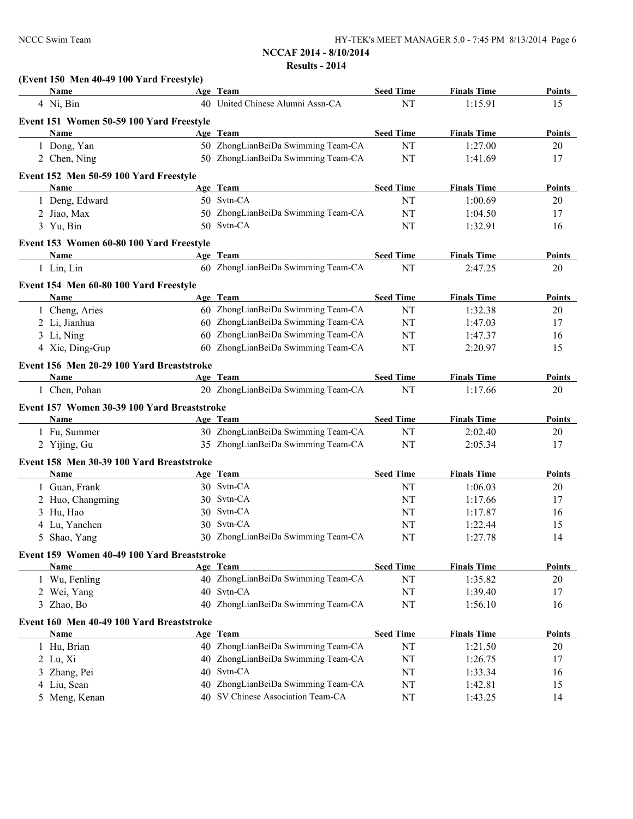| (Event 150 Men 40-49 100 Yard Freestyle)    |    |                                    |                  |                    |               |
|---------------------------------------------|----|------------------------------------|------------------|--------------------|---------------|
| Name                                        |    | Age Team                           | <b>Seed Time</b> | <b>Finals Time</b> | Points        |
| 4 Ni, Bin                                   |    | 40 United Chinese Alumni Assn-CA   | NT               | 1:15.91            | 15            |
| Event 151 Women 50-59 100 Yard Freestyle    |    |                                    |                  |                    |               |
| Name                                        |    | Age Team                           | <b>Seed Time</b> | <b>Finals Time</b> | Points        |
| 1 Dong, Yan                                 |    | 50 ZhongLianBeiDa Swimming Team-CA | NT               | 1:27.00            | 20            |
| 2 Chen, Ning                                |    | 50 ZhongLianBeiDa Swimming Team-CA | NT               | 1:41.69            | 17            |
| Event 152 Men 50-59 100 Yard Freestyle      |    |                                    |                  |                    |               |
| Name                                        |    | Age Team                           | <b>Seed Time</b> | <b>Finals Time</b> | Points        |
| 1 Deng, Edward                              |    | 50 Svtn-CA                         | NT               | 1:00.69            | 20            |
| 2 Jiao, Max                                 |    | 50 ZhongLianBeiDa Swimming Team-CA | NT               | 1:04.50            | 17            |
| 3 Yu, Bin                                   |    | 50 Svtn-CA                         | NT               | 1:32.91            | 16            |
| Event 153 Women 60-80 100 Yard Freestyle    |    |                                    |                  |                    |               |
| Name                                        |    | Age Team                           | <b>Seed Time</b> | <b>Finals Time</b> | Points        |
| 1 Lin, Lin                                  |    | 60 ZhongLianBeiDa Swimming Team-CA | NT               | 2:47.25            | 20            |
| Event 154 Men 60-80 100 Yard Freestyle      |    |                                    |                  |                    |               |
| <b>Name</b>                                 |    | Age Team                           | <b>Seed Time</b> | <b>Finals Time</b> | <b>Points</b> |
| 1 Cheng, Aries                              |    | 60 ZhongLianBeiDa Swimming Team-CA | NT               | 1:32.38            | 20            |
| 2 Li, Jianhua                               |    | 60 ZhongLianBeiDa Swimming Team-CA | NT               | 1:47.03            | 17            |
| 3 Li, Ning                                  |    | 60 ZhongLianBeiDa Swimming Team-CA | NT               | 1:47.37            | 16            |
| 4 Xie, Ding-Gup                             |    | 60 ZhongLianBeiDa Swimming Team-CA | NT               | 2:20.97            | 15            |
| Event 156 Men 20-29 100 Yard Breaststroke   |    |                                    |                  |                    |               |
| <b>Name</b>                                 |    | Age Team                           | <b>Seed Time</b> | <b>Finals Time</b> | Points        |
| 1 Chen, Pohan                               |    | 20 ZhongLianBeiDa Swimming Team-CA | NT               | 1:17.66            | 20            |
| Event 157 Women 30-39 100 Yard Breaststroke |    |                                    |                  |                    |               |
| Name                                        |    | Age Team                           | <b>Seed Time</b> | <b>Finals Time</b> | Points        |
| 1 Fu, Summer                                |    | 30 ZhongLianBeiDa Swimming Team-CA | NT               | 2:02.40            | 20            |
| 2 Yijing, Gu                                |    | 35 ZhongLianBeiDa Swimming Team-CA | NT               | 2:05.34            | 17            |
| Event 158 Men 30-39 100 Yard Breaststroke   |    |                                    |                  |                    |               |
| Name                                        |    | Age Team                           | <b>Seed Time</b> | <b>Finals Time</b> | Points        |
| 1 Guan, Frank                               |    | 30 Svtn-CA                         | NT               | 1:06.03            | 20            |
| 2 Huo, Changming                            |    | 30 Svtn-CA                         | NT               | 1:17.66            | 17            |
| 3 Hu, Hao                                   |    | 30 Svtn-CA                         | NT               | 1:17.87            | 16            |
| 4 Lu, Yanchen                               |    | 30 Svtn-CA                         | NT               | 1:22.44            | 15            |
| 5 Shao, Yang                                |    | 30 ZhongLianBeiDa Swimming Team-CA | NT               | 1:27.78            | 14            |
| Event 159 Women 40-49 100 Yard Breaststroke |    |                                    |                  |                    |               |
| <b>Name</b>                                 |    | Age Team                           | <b>Seed Time</b> | <b>Finals Time</b> | <b>Points</b> |
| 1 Wu, Fenling                               |    | 40 ZhongLianBeiDa Swimming Team-CA | NT               | 1:35.82            | 20            |
| 2 Wei, Yang                                 |    | 40 Svtn-CA                         | $\rm{NT}$        | 1:39.40            | 17            |
| 3 Zhao, Bo                                  |    | 40 ZhongLianBeiDa Swimming Team-CA | NT               | 1:56.10            | 16            |
| Event 160 Men 40-49 100 Yard Breaststroke   |    |                                    |                  |                    |               |
| <b>Name</b>                                 |    | Age Team                           | <b>Seed Time</b> | <b>Finals Time</b> | <b>Points</b> |
| 1 Hu, Brian                                 |    | 40 ZhongLianBeiDa Swimming Team-CA | $\rm{NT}$        | 1:21.50            | 20            |
| 2 Lu, Xi                                    | 40 | ZhongLianBeiDa Swimming Team-CA    | $\rm{NT}$        | 1:26.75            | 17            |
| 3 Zhang, Pei                                | 40 | Svtn-CA                            | $\rm{NT}$        | 1:33.34            | 16            |
| 4 Liu, Sean                                 | 40 | ZhongLianBeiDa Swimming Team-CA    | NT               | 1:42.81            | 15            |
| 5 Meng, Kenan                               |    | 40 SV Chinese Association Team-CA  | NT               | 1:43.25            | 14            |
|                                             |    |                                    |                  |                    |               |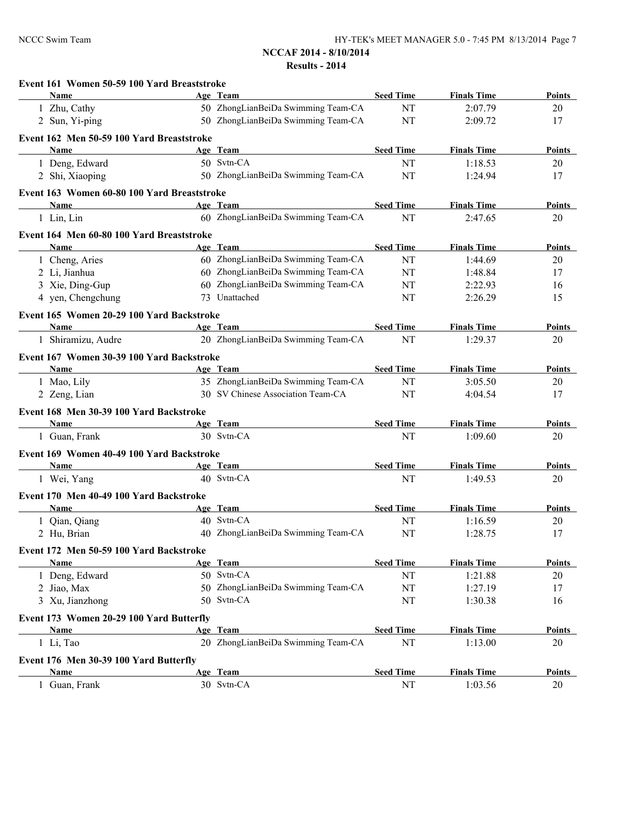| Event 161 Women 50-59 100 Yard Breaststroke            |                                    |                  |                    |               |
|--------------------------------------------------------|------------------------------------|------------------|--------------------|---------------|
| Name                                                   | Age Team                           | <b>Seed Time</b> | <b>Finals Time</b> | Points        |
| 1 Zhu, Cathy                                           | 50 ZhongLianBeiDa Swimming Team-CA | NT               | 2:07.79            | 20            |
| 2 Sun, Yi-ping                                         | 50 ZhongLianBeiDa Swimming Team-CA | NT               | 2:09.72            | 17            |
| Event 162 Men 50-59 100 Yard Breaststroke              |                                    |                  |                    |               |
| <b>Name</b>                                            | Age Team                           | <b>Seed Time</b> | <b>Finals Time</b> | <b>Points</b> |
| 1 Deng, Edward                                         | 50 Svtn-CA                         | NT               | 1:18.53            | 20            |
| 2 Shi, Xiaoping                                        | 50 ZhongLianBeiDa Swimming Team-CA | NT               | 1:24.94            | 17            |
| Event 163 Women 60-80 100 Yard Breaststroke            |                                    |                  |                    |               |
| Name                                                   | Age Team                           | <b>Seed Time</b> | <b>Finals Time</b> | Points        |
| 1 Lin, Lin                                             | 60 ZhongLianBeiDa Swimming Team-CA | NT               | 2:47.65            | 20            |
| Event 164 Men 60-80 100 Yard Breaststroke              |                                    |                  |                    |               |
| Name                                                   | Age Team                           | <b>Seed Time</b> | <b>Finals Time</b> | <b>Points</b> |
| 1 Cheng, Aries                                         | 60 ZhongLianBeiDa Swimming Team-CA | NT               | 1:44.69            | 20            |
| 2 Li, Jianhua                                          | 60 ZhongLianBeiDa Swimming Team-CA | NT               | 1:48.84            | 17            |
| 3 Xie, Ding-Gup                                        | 60 ZhongLianBeiDa Swimming Team-CA | NT               | 2:22.93            | 16            |
| 4 yen, Chengchung                                      | 73 Unattached                      | NT               | 2:26.29            | 15            |
| Event 165 Women 20-29 100 Yard Backstroke              |                                    |                  |                    |               |
| Name                                                   | Age Team                           | <b>Seed Time</b> | <b>Finals Time</b> | Points        |
| 1 Shiramizu, Audre                                     | 20 ZhongLianBeiDa Swimming Team-CA | NT               | 1:29.37            | 20            |
|                                                        |                                    |                  |                    |               |
| Event 167 Women 30-39 100 Yard Backstroke              |                                    |                  |                    |               |
| <b>Name</b>                                            | Age Team                           | <b>Seed Time</b> | <b>Finals Time</b> | <b>Points</b> |
| 1 Mao, Lily                                            | 35 ZhongLianBeiDa Swimming Team-CA | NT               | 3:05.50            | 20            |
| 2 Zeng, Lian                                           | 30 SV Chinese Association Team-CA  | NT               | 4:04.54            | 17            |
| Event 168 Men 30-39 100 Yard Backstroke                |                                    |                  |                    |               |
| Name                                                   | Age Team                           | <b>Seed Time</b> | <b>Finals Time</b> | Points        |
| 1 Guan, Frank                                          | 30 Svtn-CA                         | NT               | 1:09.60            | 20            |
| Event 169 Women 40-49 100 Yard Backstroke              |                                    |                  |                    |               |
| Name                                                   | Age Team                           | <b>Seed Time</b> | <b>Finals Time</b> | Points        |
| 1 Wei, Yang                                            | 40 Svtn-CA                         | NT               | 1:49.53            | 20            |
| Event 170 Men 40-49 100 Yard Backstroke                |                                    |                  |                    |               |
| <b>Name</b>                                            | Age Team                           | <b>Seed Time</b> | <b>Finals Time</b> | Points        |
| 1 Qian, Qiang                                          | 40 Svtn-CA                         | NT               | 1:16.59            | 20            |
| 2 Hu, Brian                                            | 40 ZhongLianBeiDa Swimming Team-CA | NT               | 1:28.75            | 17            |
|                                                        |                                    |                  |                    |               |
| Event 172 Men 50-59 100 Yard Backstroke<br><b>Name</b> | Age Team                           | <b>Seed Time</b> | <b>Finals Time</b> | Points        |
| 1 Deng, Edward                                         | 50 Svtn-CA                         | NT               | 1:21.88            | 20            |
| 2 Jiao, Max                                            | 50 ZhongLianBeiDa Swimming Team-CA | NT               | 1:27.19            | 17            |
| 3 Xu, Jianzhong                                        | 50 Svtn-CA                         | NT               | 1:30.38            | 16            |
|                                                        |                                    |                  |                    |               |
| Event 173 Women 20-29 100 Yard Butterfly               |                                    |                  |                    |               |
| <b>Name</b>                                            | Age Team                           | <b>Seed Time</b> | <b>Finals Time</b> | <b>Points</b> |
| 1 Li, Tao                                              | 20 ZhongLianBeiDa Swimming Team-CA | NT               | 1:13.00            | 20            |
| Event 176 Men 30-39 100 Yard Butterfly                 |                                    |                  |                    |               |
| Name                                                   | Age Team                           | <b>Seed Time</b> | <b>Finals Time</b> | <b>Points</b> |
| 1 Guan, Frank                                          | 30 Svtn-CA                         | NT               | 1:03.56            | 20            |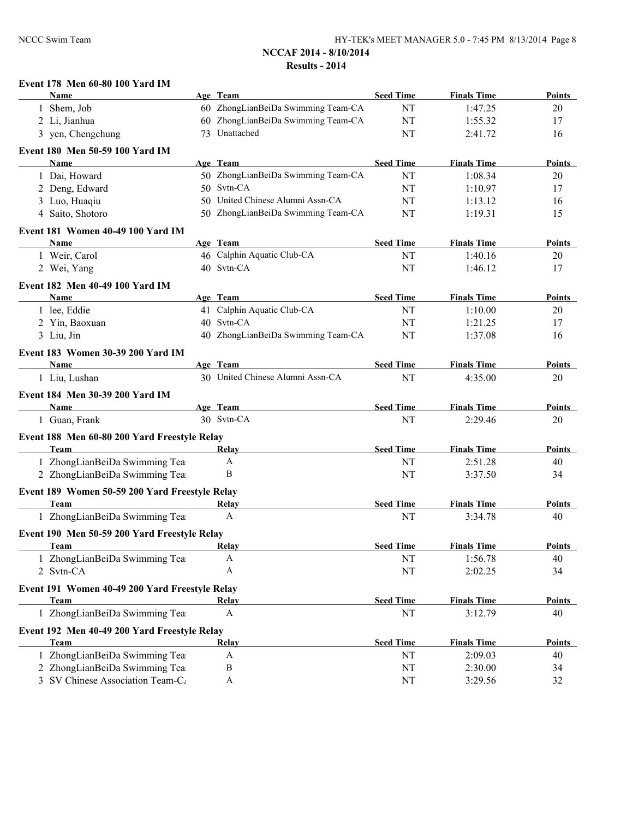## **Event 178 Men 60-80 100 Yard IM**

|              | <b>Name</b>                                    | Age Team                           | <b>Seed Time</b> | <b>Finals Time</b> | <b>Points</b> |
|--------------|------------------------------------------------|------------------------------------|------------------|--------------------|---------------|
| $\mathbf{1}$ | Shem, Job                                      | 60 ZhongLianBeiDa Swimming Team-CA | NT               | 1:47.25            | 20            |
|              | 2 Li, Jianhua                                  | 60 ZhongLianBeiDa Swimming Team-CA | NT               | 1:55.32            | 17            |
|              | 3 yen, Chengchung                              | 73 Unattached                      | NT               | 2:41.72            | 16            |
|              | Event 180 Men 50-59 100 Yard IM                |                                    |                  |                    |               |
|              | Name                                           | Age Team                           | <b>Seed Time</b> | <b>Finals Time</b> | <b>Points</b> |
|              | 1 Dai, Howard                                  | 50 ZhongLianBeiDa Swimming Team-CA | NT               | 1:08.34            | 20            |
|              | 2 Deng, Edward                                 | 50 Svtn-CA                         | NT               | 1:10.97            | 17            |
|              | 3 Luo, Huaqiu                                  | 50 United Chinese Alumni Assn-CA   | NT               | 1:13.12            | 16            |
|              | 4 Saito, Shotoro                               | 50 ZhongLianBeiDa Swimming Team-CA | NT               | 1:19.31            | 15            |
|              |                                                |                                    |                  |                    |               |
|              | Event 181 Women 40-49 100 Yard IM              |                                    |                  |                    |               |
|              | Name                                           | Age Team                           | <b>Seed Time</b> | <b>Finals Time</b> | <b>Points</b> |
|              | 1 Weir, Carol                                  | 46 Calphin Aquatic Club-CA         | NT               | 1:40.16            | 20            |
|              | 2 Wei, Yang                                    | 40 Svtn-CA                         | NT               | 1:46.12            | 17            |
|              | Event 182 Men 40-49 100 Yard IM                |                                    |                  |                    |               |
|              | Name                                           | Age Team                           | <b>Seed Time</b> | <b>Finals Time</b> | <b>Points</b> |
|              | 1 lee, Eddie                                   | 41 Calphin Aquatic Club-CA         | NT               | 1:10.00            | 20            |
|              | 2 Yin, Baoxuan                                 | 40 Svtn-CA                         | NT               | 1:21.25            | 17            |
|              | 3 Liu, Jin                                     | 40 ZhongLianBeiDa Swimming Team-CA | NT               | 1:37.08            | 16            |
|              | Event 183 Women 30-39 200 Yard IM              |                                    |                  |                    |               |
|              | Name                                           | Age Team                           | <b>Seed Time</b> | <b>Finals Time</b> | Points        |
|              | 1 Liu, Lushan                                  | 30 United Chinese Alumni Assn-CA   | NT               | 4:35.00            | 20            |
|              |                                                |                                    |                  |                    |               |
|              | Event 184 Men 30-39 200 Yard IM<br>Name        | Age Team                           | <b>Seed Time</b> | <b>Finals Time</b> | Points        |
|              | 1 Guan, Frank                                  | 30 Svtn-CA                         | NT               | 2:29.46            | 20            |
|              |                                                |                                    |                  |                    |               |
|              | Event 188 Men 60-80 200 Yard Freestyle Relay   |                                    |                  |                    |               |
|              | Team                                           | Relay                              | <b>Seed Time</b> | <b>Finals Time</b> | <b>Points</b> |
|              | 1 ZhongLianBeiDa Swimming Tea                  | $\mathbf{A}$                       | NT               | 2:51.28            | 40            |
|              | 2 ZhongLianBeiDa Swimming Tea                  | B                                  | NT               | 3:37.50            | 34            |
|              | Event 189 Women 50-59 200 Yard Freestyle Relay |                                    |                  |                    |               |
|              | Team                                           | Relay                              | <b>Seed Time</b> | <b>Finals Time</b> | <b>Points</b> |
|              | 1 ZhongLianBeiDa Swimming Tea                  | A                                  | NT               | 3:34.78            | 40            |
|              | Event 190 Men 50-59 200 Yard Freestyle Relay   |                                    |                  |                    |               |
|              | <b>Team</b>                                    | <b>Relay</b>                       | <b>Seed Time</b> | <b>Finals Time</b> | <b>Points</b> |
|              | ZhongLianBeiDa Swimming Tea                    | A                                  | NT               | 1:56.78            | 40            |
|              | 2 Svtn-CA                                      | A                                  | NT               | 2:02.25            | 34            |
|              |                                                |                                    |                  |                    |               |
|              | Event 191 Women 40-49 200 Yard Freestyle Relay |                                    | <b>Seed Time</b> |                    |               |
|              | Team                                           | Relay<br>A                         |                  | <b>Finals Time</b> | <b>Points</b> |
|              | 1 ZhongLianBeiDa Swimming Tea                  |                                    | NT               | 3:12.79            | 40            |
|              | Event 192 Men 40-49 200 Yard Freestyle Relay   |                                    |                  |                    |               |
|              | Team                                           | Relay                              | <b>Seed Time</b> | <b>Finals Time</b> | <b>Points</b> |
|              | ZhongLianBeiDa Swimming Tea                    | $\mathbf{A}$                       | NT               | 2:09.03            | 40            |
|              | 2 ZhongLianBeiDa Swimming Tea                  | $\, {\bf B}$                       | NT               | 2:30.00            | 34            |
|              | 3 SV Chinese Association Team-C <sub>/</sub>   | $\mathbf{A}$                       | NT               | 3:29.56            | 32            |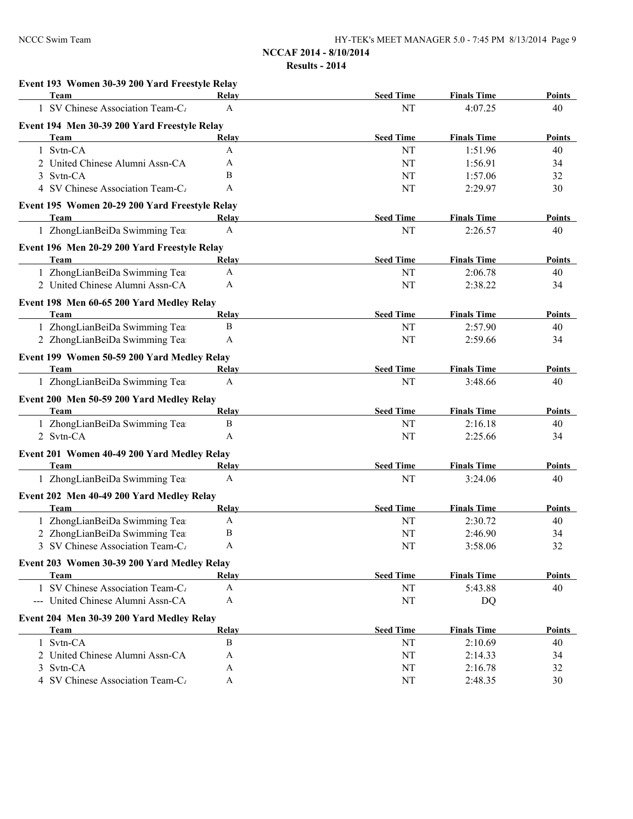# **Event 193 Women 30-39 200 Yard Freestyle Relay**

| Team                                                                          | Relay        | <b>Seed Time</b> | <b>Finals Time</b> | <b>Points</b> |
|-------------------------------------------------------------------------------|--------------|------------------|--------------------|---------------|
| SV Chinese Association Team-C <sub>t</sub>                                    | A            | NT               | 4:07.25            | 40            |
| Event 194 Men 30-39 200 Yard Freestyle Relay                                  |              |                  |                    |               |
| Team                                                                          | Relay        | <b>Seed Time</b> | <b>Finals Time</b> | <b>Points</b> |
| Svtn-CA<br>$\mathbf{1}$                                                       | A            | NT               | 1:51.96            | 40            |
| 2 United Chinese Alumni Assn-CA                                               | A            | NT               | 1:56.91            | 34            |
| 3 Svtn-CA                                                                     | B            | NT               | 1:57.06            | 32            |
| 4 SV Chinese Association Team-C <sub>/</sub>                                  | A            | NT               | 2:29.97            | 30            |
| Event 195 Women 20-29 200 Yard Freestyle Relay                                |              |                  |                    |               |
| Team                                                                          | Relay        | <b>Seed Time</b> | <b>Finals Time</b> | <b>Points</b> |
| 1 ZhongLianBeiDa Swimming Tea                                                 | A            | NT               | 2:26.57            | 40            |
| Event 196 Men 20-29 200 Yard Freestyle Relay                                  |              |                  |                    |               |
| Team                                                                          | Relay        | <b>Seed Time</b> | <b>Finals Time</b> | Points        |
| 1 ZhongLianBeiDa Swimming Tea                                                 | A            | NT               | 2:06.78            | 40            |
| 2 United Chinese Alumni Assn-CA                                               | A            | NT               | 2:38.22            | 34            |
| Event 198 Men 60-65 200 Yard Medley Relay                                     |              |                  |                    |               |
| Team                                                                          | Relay        | <b>Seed Time</b> | <b>Finals Time</b> | <b>Points</b> |
| 1 ZhongLianBeiDa Swimming Tea                                                 | B            | NT               | 2:57.90            | 40            |
| 2 ZhongLianBeiDa Swimming Tea                                                 | A            | NT               | 2:59.66            | 34            |
| Event 199 Women 50-59 200 Yard Medley Relay                                   |              |                  |                    |               |
| <b>Team</b>                                                                   | Relay        | <b>Seed Time</b> | <b>Finals Time</b> | <b>Points</b> |
| 1 ZhongLianBeiDa Swimming Tea                                                 | A            | NT               | 3:48.66            | 40            |
|                                                                               |              |                  |                    |               |
| Event 200 Men 50-59 200 Yard Medley Relay<br>Team                             | Relay        | <b>Seed Time</b> | <b>Finals Time</b> | Points        |
| 1 ZhongLianBeiDa Swimming Tea                                                 | B            | NT               | 2:16.18            | 40            |
| 2 Svtn-CA                                                                     | A            | NT               | 2:25.66            | 34            |
|                                                                               |              |                  |                    |               |
| Event 201 Women 40-49 200 Yard Medley Relay<br>Team                           | <b>Relay</b> | <b>Seed Time</b> | <b>Finals Time</b> | <b>Points</b> |
| 1 ZhongLianBeiDa Swimming Tea                                                 | A            | NT               | 3:24.06            | 40            |
|                                                                               |              |                  |                    |               |
| Event 202 Men 40-49 200 Yard Medley Relay                                     |              |                  |                    |               |
| Team                                                                          | Relay        | <b>Seed Time</b> | <b>Finals Time</b> | Points        |
| 1 ZhongLianBeiDa Swimming Tea                                                 | A            | NT               | 2:30.72            | 40            |
| 2 ZhongLianBeiDa Swimming Tea<br>3 SV Chinese Association Team-C <sub>1</sub> | B<br>A       | NT<br>NT         | 2:46.90<br>3:58.06 | 34<br>32      |
|                                                                               |              |                  |                    |               |
| Event 203 Women 30-39 200 Yard Medley Relay                                   |              |                  |                    |               |
| Team                                                                          | Relay        | <b>Seed Time</b> | <b>Finals Time</b> | Points        |
| 1 SV Chinese Association Team-C                                               | A            | NT               | 5:43.88            | 40            |
| --- United Chinese Alumni Assn-CA                                             | A            | NT               | DQ                 |               |
| Event 204 Men 30-39 200 Yard Medley Relay                                     |              |                  |                    |               |
| Team                                                                          | <b>Relay</b> | <b>Seed Time</b> | <b>Finals Time</b> | <b>Points</b> |
| 1 Svtn-CA                                                                     | B            | NT               | 2:10.69            | 40            |
| 2 United Chinese Alumni Assn-CA                                               | A            | NT               | 2:14.33            | 34            |
| 3 Svtn-CA                                                                     | A            | NT               | 2:16.78            | 32            |
| 4 SV Chinese Association Team-C <sub>1</sub>                                  | A            | NT               | 2:48.35            | 30            |